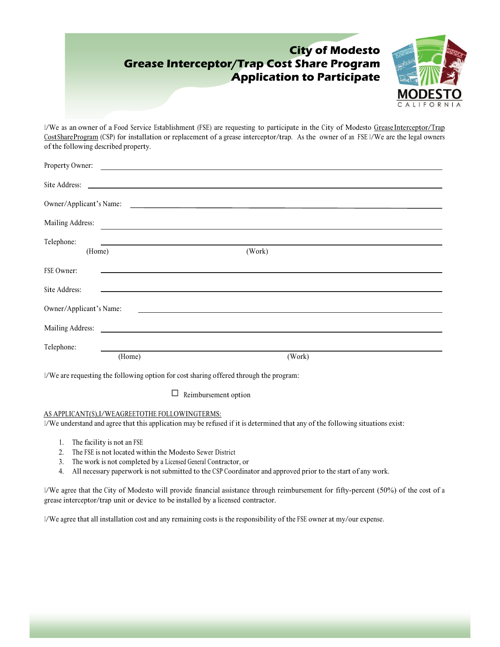### **City of Modesto Grease Interceptor/Trap Cost Share Program Application to Participate**



1/We as an owner of a Food Service Establishment (FSE) are requesting to participate in the City of Modesto Grease Interceptor/Trap CostShareProgram (CSP) for installation or replacement of a grease interceptor/trap. As the owner of an FSE 1/We are the legal owners of the following described property.

|                         |        | Property Owner:                                            |        |  |
|-------------------------|--------|------------------------------------------------------------|--------|--|
|                         |        |                                                            |        |  |
| Owner/Applicant's Name: |        | <u> 1989 - Andrea Andrew Maria (h. 1989).</u>              |        |  |
| Mailing Address:        |        |                                                            |        |  |
| Telephone:              |        | <u> 1989 - Johann Stoff, amerikansk politiker (* 1908)</u> |        |  |
| (Home)                  |        |                                                            | (Work) |  |
| FSE Owner:              |        |                                                            |        |  |
| Site Address:           |        |                                                            |        |  |
| Owner/Applicant's Name: |        | <u> 1980 - Andrea Station, amerikansk politik (</u>        |        |  |
|                         |        |                                                            |        |  |
| Telephone:              |        |                                                            |        |  |
|                         | (Home) |                                                            | (Work) |  |

1/We are requesting the following option for cost sharing offered through the program:

 $\Box$  Reimbursement option

#### AS APPLICANT(S),I/WEAGREETOTHE FOLLOWINGTERMS:

1/We understand and agree that this application may be refused if it is determined that any of the following situations exist:

- 1. The facility is not an FSE
- 2. The FSE is not located within the Modesto Sewer District
- 3. The work is not completed by a Licensed General Contractor, or
- 4. All necessary paperwork is not submitted to the CSP Coordinator and approved prior to the start of any work.

1/We agree that the City of Modesto will provide financial assistance through reimbursement for fifty-percent (50%) of the cost of a grease interceptor/trap unit or device to be installed by a licensed contractor.

1/We agree that all installation cost and any remaining costs is the responsibility of the FSE owner at my/our expense.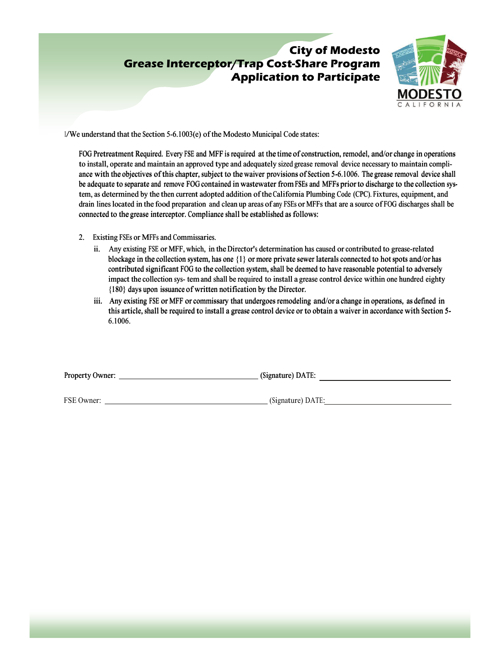# **Grease Interceptor/Trap Cost-Share Program Application to Participate**



1/We understand that the Section 5-6.1003(e) of the Modesto Municipal Code states:

FOG Pretreatment Required. Every FSE and MFF is required at the time of construction, remodel, and/or change in operations to install, operate and maintain an approved type and adequately sized grease removal device necessary to maintain compliance with the objectives of this chapter, subject to the waiver provisions of Section 5-6.1006. The grease removal device shall ance with the objectives of this chapter, subject to the waiver provisions of Section 5-6.1006. The grease removal device shall<br>be adequate to separate and remove FOG contained in wastewater from FSEs and MFFs prior to dis tem, as determined by the then current adopted addition of the California Plumbing Code (CPC). Fixtures, equipment, and tem, as determined by the then current adopted addition of the California Plumbing Code (CPC). Fixtures, equipment, and<br>drain lines located in the food preparation and clean up areas of any FSEs or MFFs that are a source o connected to the grease interceptor. Compliance shall be established as follows: **Exity of Modesto**<br> **Application to Participate**<br> **Application MP application COLES CONSE CONSE CONSE CONSE CONSE CONSE CONSE CONSE CONSE CONSE CONSE CONSESSED A CALL FOR NUMER A CALL FOR NUMER AND MUST USE A CALL FOR NUME** 

- 2. Existing FSEs or MFFs and Commissaries.
	- ii. Any existing FSE or MFF, which, in the Director's determination has caused or contributed to grease-related blockage in the collection system, has one {1} or more private sewer laterals connected to hot spots and/or has contributed significant FOG to the collection system, shall be deemed to have reasonable potential to adversely impact the collection sys- tem and shall be required to install a grease control device within one hundred eighty {180} days upon issuance of written notification by the Director. Existing FSEs or MFFs and Commissaries.<br>ii. Any existing FSE or MFF, which, in the Director's determination has caused or contributed to grease-related<br>blockage in the collection system, has one {1} or more private sewer l contributed significant FOG to the collection system, shall be deemed to have reasonable potential to adversely impact the collection sys- tem and shall be required to install a grease control device within one hundred eig
	- iii. Any existing FSE or MFF or commissary that undergoes remodeling and/or a change in operations, as defined in this article, shall be required to install a grease control device or to obtain a waiver in accordance with Section 5- 6.1006.

Property Owner: (Signature) DATE:

FSE Owner: (Signature) DATE: